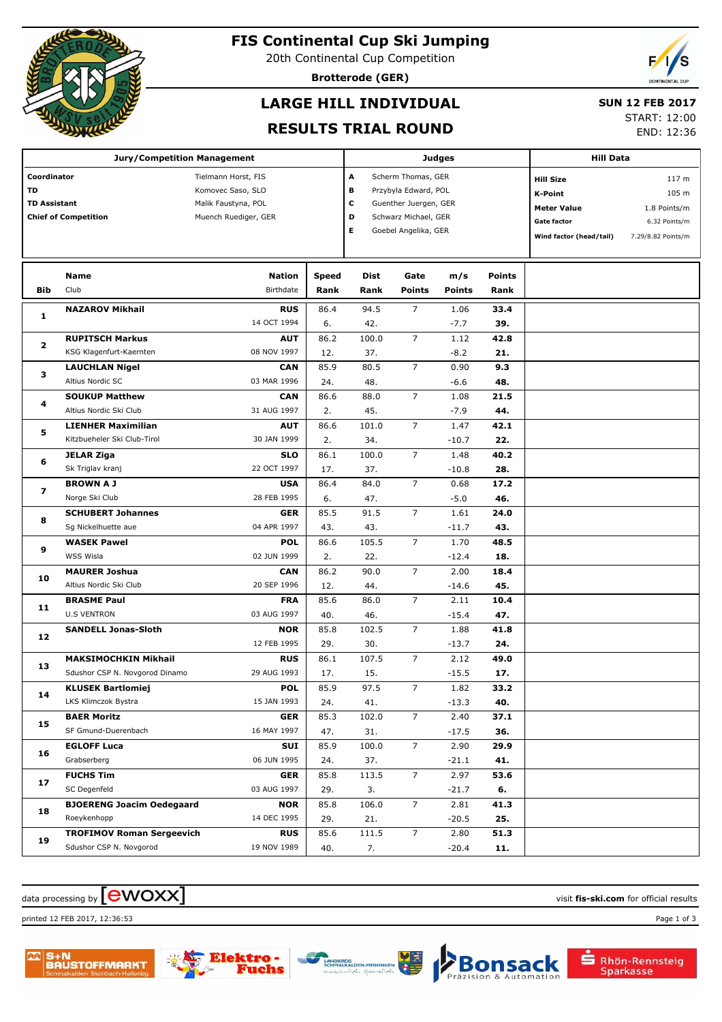

## **FIS Continental Cup Ski Jumping**

20th Continental Cup Competition

**Brotterode (GER)**

## **LARGE HILL INDIVIDUAL**

#### **SUN 12 FEB 2017**

#### **RESULTS TRIAL ROUND**

START: 12:00

END: 12:36

|                                                                         | <b>Jury/Competition Management</b>              |                                                                                         |               | Judges                                                                                                                                       | <b>Hill Data</b>      |                      |                       |                                                                                                    |                                                                                  |
|-------------------------------------------------------------------------|-------------------------------------------------|-----------------------------------------------------------------------------------------|---------------|----------------------------------------------------------------------------------------------------------------------------------------------|-----------------------|----------------------|-----------------------|----------------------------------------------------------------------------------------------------|----------------------------------------------------------------------------------|
| Coordinator<br>TD<br><b>TD Assistant</b><br><b>Chief of Competition</b> |                                                 | Tielmann Horst, FIS<br>Komovec Saso, SLO<br>Malik Faustyna, POL<br>Muench Ruediger, GER |               | A<br>Scherm Thomas, GER<br>в<br>Przybyla Edward, POL<br>C<br>Guenther Juergen, GER<br>D<br>Schwarz Michael, GER<br>Е<br>Goebel Angelika, GER |                       |                      |                       | <b>Hill Size</b><br><b>K-Point</b><br><b>Meter Value</b><br>Gate factor<br>Wind factor (head/tail) | 117 <sub>m</sub><br>105 m<br>1.8 Points/m<br>6.32 Points/m<br>7.29/8.82 Points/m |
| Bib                                                                     | Name<br>Club                                    | <b>Nation</b><br>Birthdate                                                              | Speed<br>Rank | Dist<br>Rank                                                                                                                                 | Gate<br><b>Points</b> | m/s<br><b>Points</b> | <b>Points</b><br>Rank |                                                                                                    |                                                                                  |
|                                                                         |                                                 |                                                                                         |               |                                                                                                                                              |                       |                      |                       |                                                                                                    |                                                                                  |
| 1                                                                       | <b>NAZAROV Mikhail</b>                          | <b>RUS</b><br>14 OCT 1994                                                               | 86.4<br>6.    | 94.5<br>42.                                                                                                                                  | $\overline{7}$        | 1.06<br>$-7.7$       | 33.4<br>39.           |                                                                                                    |                                                                                  |
|                                                                         | <b>RUPITSCH Markus</b>                          | <b>AUT</b>                                                                              | 86.2          | 100.0                                                                                                                                        | $\overline{7}$        | 1.12                 | 42.8                  |                                                                                                    |                                                                                  |
| 2                                                                       | KSG Klagenfurt-Kaernten                         | 08 NOV 1997                                                                             | 12.           | 37.                                                                                                                                          |                       | $-8.2$               | 21.                   |                                                                                                    |                                                                                  |
|                                                                         | <b>LAUCHLAN Nigel</b>                           | <b>CAN</b>                                                                              | 85.9          | 80.5                                                                                                                                         | $\overline{7}$        | 0.90                 | 9.3                   |                                                                                                    |                                                                                  |
| з                                                                       | Altius Nordic SC                                | 03 MAR 1996                                                                             | 24.           | 48.                                                                                                                                          |                       | $-6.6$               | 48.                   |                                                                                                    |                                                                                  |
|                                                                         | <b>SOUKUP Matthew</b>                           | <b>CAN</b>                                                                              | 86.6          | 88.0                                                                                                                                         | $\overline{7}$        | 1.08                 | 21.5                  |                                                                                                    |                                                                                  |
| 4                                                                       | Altius Nordic Ski Club                          | 31 AUG 1997                                                                             | 2.            | 45.                                                                                                                                          |                       | $-7.9$               | 44.                   |                                                                                                    |                                                                                  |
|                                                                         | <b>LIENHER Maximilian</b>                       | <b>AUT</b>                                                                              | 86.6          | 101.0                                                                                                                                        | $\overline{7}$        | 1.47                 | 42.1                  |                                                                                                    |                                                                                  |
| 5                                                                       | Kitzbueheler Ski Club-Tirol                     | 30 JAN 1999                                                                             | 2.            | 34.                                                                                                                                          |                       | $-10.7$              | 22.                   |                                                                                                    |                                                                                  |
| 6                                                                       | <b>JELAR Ziga</b>                               | <b>SLO</b>                                                                              | 86.1          | 100.0                                                                                                                                        | $\overline{7}$        | 1.48                 | 40.2                  |                                                                                                    |                                                                                  |
|                                                                         | Sk Triglav kranj                                | 22 OCT 1997                                                                             | 17.           | 37.                                                                                                                                          |                       | $-10.8$              | 28.                   |                                                                                                    |                                                                                  |
|                                                                         | <b>BROWN A J</b>                                | <b>USA</b>                                                                              | 86.4          | 84.0                                                                                                                                         | $\overline{7}$        | 0.68                 | 17.2                  |                                                                                                    |                                                                                  |
| 7                                                                       | Norge Ski Club                                  | 28 FEB 1995                                                                             | 6.            | 47.                                                                                                                                          |                       | $-5.0$               | 46.                   |                                                                                                    |                                                                                  |
| 8                                                                       | <b>SCHUBERT Johannes</b>                        | <b>GER</b>                                                                              | 85.5          | 91.5                                                                                                                                         | $\overline{7}$        | 1.61                 | 24.0                  |                                                                                                    |                                                                                  |
|                                                                         | Sg Nickelhuette aue                             | 04 APR 1997                                                                             | 43.           | 43.                                                                                                                                          |                       | $-11.7$              | 43.                   |                                                                                                    |                                                                                  |
| 9                                                                       | <b>WASEK Pawel</b>                              | <b>POL</b>                                                                              | 86.6          | 105.5                                                                                                                                        | $\overline{7}$        | 1.70                 | 48.5                  |                                                                                                    |                                                                                  |
|                                                                         | WSS Wisla                                       | 02 JUN 1999                                                                             | 2.            | 22.                                                                                                                                          |                       | $-12.4$              | 18.                   |                                                                                                    |                                                                                  |
| 10                                                                      | <b>MAURER Joshua</b>                            | <b>CAN</b>                                                                              | 86.2          | 90.0                                                                                                                                         | $\overline{7}$        | 2.00                 | 18.4                  |                                                                                                    |                                                                                  |
|                                                                         | Altius Nordic Ski Club                          | 20 SEP 1996                                                                             | 12.           | 44.                                                                                                                                          |                       | $-14.6$              | 45.                   |                                                                                                    |                                                                                  |
| 11                                                                      | <b>BRASME Paul</b>                              | <b>FRA</b>                                                                              | 85.6          | 86.0                                                                                                                                         | $\overline{7}$        | 2.11                 | 10.4                  |                                                                                                    |                                                                                  |
|                                                                         | <b>U.S VENTRON</b>                              | 03 AUG 1997                                                                             | 40.           | 46.                                                                                                                                          |                       | $-15.4$              | 47.                   |                                                                                                    |                                                                                  |
| 12                                                                      | <b>SANDELL Jonas-Sloth</b>                      | <b>NOR</b>                                                                              | 85.8          | 102.5                                                                                                                                        | $\overline{7}$        | 1.88                 | 41.8                  |                                                                                                    |                                                                                  |
|                                                                         |                                                 | 12 FEB 1995                                                                             | 29.           | 30.                                                                                                                                          |                       | $-13.7$              | 24.                   |                                                                                                    |                                                                                  |
| 13                                                                      | <b>MAKSIMOCHKIN Mikhail</b>                     | <b>RUS</b>                                                                              | 86.1          | 107.5                                                                                                                                        | $\overline{7}$        | 2.12                 | 49.0                  |                                                                                                    |                                                                                  |
|                                                                         | Sdushor CSP N. Novgorod Dinamo                  | 29 AUG 1993                                                                             | 17.           | 15.                                                                                                                                          |                       | $-15.5$              | 17.                   |                                                                                                    |                                                                                  |
| 14                                                                      | <b>KLUSEK Bartlomiej</b><br>LKS Klimczok Bystra | <b>POL</b><br>15 JAN 1993                                                               | 85.9          | 97.5                                                                                                                                         | 7                     | 1.82<br>$-13.3$      | 33.2<br>40.           |                                                                                                    |                                                                                  |
|                                                                         | <b>BAER Moritz</b>                              | <b>GER</b>                                                                              | 24.<br>85.3   | 41.<br>102.0                                                                                                                                 | $\overline{7}$        | 2.40                 | 37.1                  |                                                                                                    |                                                                                  |
| 15                                                                      | SF Gmund-Duerenbach                             | 16 MAY 1997                                                                             | 47.           | 31.                                                                                                                                          |                       | $-17.5$              | 36.                   |                                                                                                    |                                                                                  |
|                                                                         | <b>EGLOFF Luca</b>                              | SUI                                                                                     | 85.9          | 100.0                                                                                                                                        | $\overline{7}$        | 2.90                 | 29.9                  |                                                                                                    |                                                                                  |
| 16                                                                      | Grabserberg                                     | 06 JUN 1995                                                                             | 24.           | 37.                                                                                                                                          |                       | $-21.1$              | 41.                   |                                                                                                    |                                                                                  |
|                                                                         | <b>FUCHS Tim</b>                                | <b>GER</b>                                                                              | 85.8          | 113.5                                                                                                                                        | $\overline{7}$        | 2.97                 | 53.6                  |                                                                                                    |                                                                                  |
| 17                                                                      | SC Degenfeld                                    | 03 AUG 1997                                                                             | 29.           | 3.                                                                                                                                           |                       | $-21.7$              | 6.                    |                                                                                                    |                                                                                  |
|                                                                         | <b>BJOERENG Joacim Oedegaard</b>                | <b>NOR</b>                                                                              | 85.8          | 106.0                                                                                                                                        | $\overline{7}$        | 2.81                 | 41.3                  |                                                                                                    |                                                                                  |
| 18                                                                      | Roeykenhopp                                     | 14 DEC 1995                                                                             | 29.           | 21.                                                                                                                                          |                       | $-20.5$              | 25.                   |                                                                                                    |                                                                                  |
|                                                                         | <b>TROFIMOV Roman Sergeevich</b>                | <b>RUS</b>                                                                              | 85.6          | 111.5                                                                                                                                        | $\overline{7}$        | 2.80                 | 51.3                  |                                                                                                    |                                                                                  |
| 19                                                                      | Sdushor CSP N. Novgorod                         | 19 NOV 1989                                                                             | 40.           | 7.                                                                                                                                           |                       | $-20.4$              | 11.                   |                                                                                                    |                                                                                  |
|                                                                         |                                                 |                                                                                         |               |                                                                                                                                              |                       |                      |                       |                                                                                                    |                                                                                  |

### $\alpha$  data processing by  $\boxed{\text{ewOX}}$

printed 12 FEB 2017, 12:36:53 Page 1 of 3



che

sack Bon

Automation

Rhön-Rennsteig<br>Sparkasse

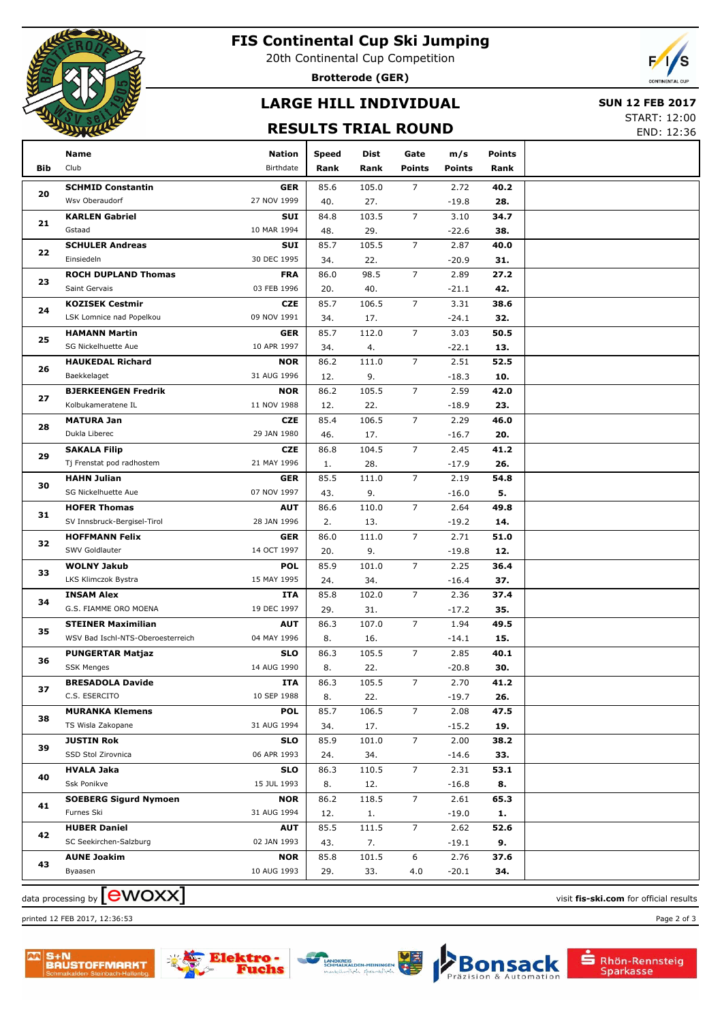

## **FIS Continental Cup Ski Jumping**

20th Continental Cup Competition

**Brotterode (GER)**

# **LARGE HILL INDIVIDUAL**

#### **SUN 12 FEB 2017**

#### **RESULTS TRIAL ROUND**

START: 12:00 END: 12:36

|     | Name                                         | <b>Nation</b>             | <b>Speed</b> | Dist         | Gate           | m/s             | <b>Points</b> |  |
|-----|----------------------------------------------|---------------------------|--------------|--------------|----------------|-----------------|---------------|--|
| Bib | Club                                         | Birthdate                 | Rank         | Rank         | <b>Points</b>  | <b>Points</b>   | Rank          |  |
|     | <b>SCHMID Constantin</b>                     | <b>GER</b>                | 85.6         | 105.0        | $\overline{7}$ | 2.72            | 40.2          |  |
| 20  | Wsv Oberaudorf                               | 27 NOV 1999               | 40.          | 27.          |                | $-19.8$         | 28.           |  |
|     | <b>KARLEN Gabriel</b>                        | <b>SUI</b>                | 84.8         | 103.5        | $\overline{7}$ | 3.10            | 34.7          |  |
| 21  | Gstaad                                       | 10 MAR 1994               | 48.          | 29.          |                | $-22.6$         | 38.           |  |
| 22  | <b>SCHULER Andreas</b>                       | SUI                       | 85.7         | 105.5        | $\overline{7}$ | 2.87            | 40.0          |  |
|     | Einsiedeln                                   | 30 DEC 1995               | 34.          | 22.          |                | $-20.9$         | 31.           |  |
| 23  | <b>ROCH DUPLAND Thomas</b>                   | <b>FRA</b>                | 86.0         | 98.5         | $\overline{7}$ | 2.89            | 27.2          |  |
|     | Saint Gervais                                | 03 FEB 1996               | 20.          | 40.          |                | $-21.1$         | 42.           |  |
| 24  | <b>KOZISEK Cestmir</b>                       | <b>CZE</b>                | 85.7         | 106.5        | $\overline{7}$ | 3.31            | 38.6          |  |
|     | LSK Lomnice nad Popelkou                     | 09 NOV 1991               | 34.          | 17.          |                | $-24.1$         | 32.           |  |
| 25  | <b>HAMANN Martin</b>                         | <b>GER</b>                | 85.7         | 112.0        | $\overline{7}$ | 3.03            | 50.5          |  |
|     | SG Nickelhuette Aue                          | 10 APR 1997               | 34.          | 4.           |                | $-22.1$         | 13.           |  |
| 26  | <b>HAUKEDAL Richard</b>                      | <b>NOR</b>                | 86.2         | 111.0        | $\overline{7}$ | 2.51            | 52.5          |  |
|     | Baekkelaget                                  | 31 AUG 1996               | 12.          | 9.           |                | $-18.3$         | 10.           |  |
| 27  | <b>BJERKEENGEN Fredrik</b>                   | <b>NOR</b>                | 86.2         | 105.5        | $\overline{7}$ | 2.59            | 42.0          |  |
|     | Kolbukameratene IL                           | 11 NOV 1988               | 12.          | 22.          |                | $-18.9$         | 23.           |  |
| 28  | <b>MATURA Jan</b>                            | <b>CZE</b>                | 85.4         | 106.5        | $\overline{7}$ | 2.29            | 46.0          |  |
|     | Dukla Liberec                                | 29 JAN 1980               | 46.          | 17.          |                | $-16.7$         | 20.           |  |
| 29  | <b>SAKALA Filip</b>                          | <b>CZE</b>                | 86.8         | 104.5        | $\overline{7}$ | 2.45            | 41.2          |  |
|     | Tj Frenstat pod radhostem                    | 21 MAY 1996               | 1.           | 28.          |                | $-17.9$         | 26.           |  |
| 30  | <b>HAHN Julian</b>                           | <b>GER</b>                | 85.5         | 111.0        | $\overline{7}$ | 2.19            | 54.8          |  |
|     | SG Nickelhuette Aue                          | 07 NOV 1997               | 43.          | 9.           |                | $-16.0$         | 5.            |  |
| 31  | <b>HOFER Thomas</b>                          | <b>AUT</b>                | 86.6         | 110.0        | $\overline{7}$ | 2.64            | 49.8          |  |
|     | SV Innsbruck-Bergisel-Tirol                  | 28 JAN 1996               | 2.           | 13.          |                | $-19.2$         | 14.           |  |
| 32  | <b>HOFFMANN Felix</b>                        | <b>GER</b>                | 86.0         | 111.0        | $\overline{7}$ | 2.71            | 51.0          |  |
|     | SWV Goldlauter                               | 14 OCT 1997               | 20.          | 9.           |                | $-19.8$         | 12.           |  |
| 33  | <b>WOLNY Jakub</b>                           | <b>POL</b>                | 85.9         | 101.0        | $\overline{7}$ | 2.25            | 36.4          |  |
|     | LKS Klimczok Bystra                          | 15 MAY 1995               | 24.          | 34.          |                | $-16.4$         | 37.           |  |
| 34  | <b>INSAM Alex</b>                            | ITA                       | 85.8         | 102.0        | $\overline{7}$ | 2.36            | 37.4          |  |
|     | G.S. FIAMME ORO MOENA                        | 19 DEC 1997               | 29.          | 31.          |                | $-17.2$         | 35.           |  |
| 35  | <b>STEINER Maximilian</b>                    | <b>AUT</b>                | 86.3         | 107.0        | $\overline{7}$ | 1.94            | 49.5          |  |
|     | WSV Bad Ischl-NTS-Oberoesterreich            | 04 MAY 1996               | 8.           | 16.          |                | $-14.1$         | 15.           |  |
| 36  | <b>PUNGERTAR Matjaz</b>                      | <b>SLO</b>                | 86.3         | 105.5        | $\overline{7}$ | 2.85            | 40.1          |  |
|     | <b>SSK Menges</b><br><b>BRESADOLA Davide</b> | 14 AUG 1990<br><b>ITA</b> | 8.<br>86.3   | 22.<br>105.5 | 7              | $-20.8$<br>2.70 | 30.<br>41.2   |  |
| 37  | C.S. ESERCITO                                | 10 SEP 1988               | 8.           | 22.          |                | $-19.7$         | 26.           |  |
|     | <b>MURANKA Klemens</b>                       | <b>POL</b>                | 85.7         | 106.5        | 7              | 2.08            | 47.5          |  |
| 38  | TS Wisla Zakopane                            | 31 AUG 1994               | 34.          | 17.          |                | $-15.2$         | 19.           |  |
|     | <b>JUSTIN Rok</b>                            | <b>SLO</b>                | 85.9         | 101.0        | $\overline{7}$ | 2.00            | 38.2          |  |
| 39  | SSD Stol Zirovnica                           | 06 APR 1993               | 24.          | 34.          |                | $-14.6$         | 33.           |  |
|     | <b>HVALA Jaka</b>                            | <b>SLO</b>                | 86.3         | 110.5        | $\overline{7}$ | 2.31            | 53.1          |  |
| 40  | Ssk Ponikve                                  | 15 JUL 1993               | 8.           | 12.          |                | $-16.8$         | 8.            |  |
|     | <b>SOEBERG Sigurd Nymoen</b>                 | <b>NOR</b>                | 86.2         | 118.5        | $\overline{7}$ | 2.61            | 65.3          |  |
| 41  | Furnes Ski                                   | 31 AUG 1994               | 12.          | 1.           |                | $-19.0$         | 1.            |  |
|     | <b>HUBER Daniel</b>                          | <b>AUT</b>                | 85.5         | 111.5        | $\overline{7}$ | 2.62            | 52.6          |  |
| 42  | SC Seekirchen-Salzburg                       | 02 JAN 1993               | 43.          | 7.           |                | $-19.1$         | 9.            |  |
|     | <b>AUNE Joakim</b>                           | <b>NOR</b>                | 85.8         | 101.5        | 6              | 2.76            | 37.6          |  |
| 43  | Byaasen                                      | 10 AUG 1993               | 29.          | 33.          | 4.0            | $-20.1$         | 34.           |  |
|     |                                              |                           |              |              |                |                 |               |  |

 $\frac{1}{2}$  data processing by  $\boxed{\text{ewOX}}$ 









sack

Automation

Bon

Rhön-Rennsteig<br>Sparkasse